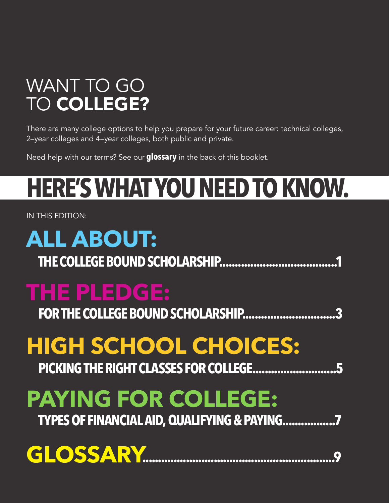## WANT TO GO TO COLLEGE?

There are many college options to help you prepare for your future career: technical colleges, 2–year colleges and 4–year colleges, both public and private.

Need help with our terms? See our **glossary** in the back of this booklet.

# **HERE'S WHAT YOU NEED TO KNOW.**

IN THIS EDITION:

## **ALL ABOUT: THE COLLEGE BOUND SCHOLARSHIP......................................1 THE PLEDGE:** FOR THE COLLEGE BOUND SCHOLARSHIP.................... **HIGH SCHOOL CHOICES: PICKING THE RIGHT CLASSES FOR COLLEGE...........................5 PAYING FOR COLLEGE:**

**TYPES OF FINANCIAL AID, QUALIFYING & PAYING.................7**

## **GLOSSARY..............................................................9**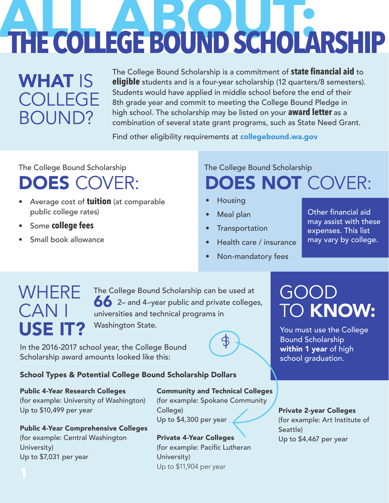# **THE COLLEGE BOUND SCHOLARSHIP**

#### WHAT IS COLLEGE BOUND?

The College Bound Scholarship is a commitment of **state financial aid** to **eligible** students and is a four-year scholarship (12 quarters/8 semesters). Students would have applied in middle school before the end of their 8th grade year and commit to meeting the College Bound Pledge in high school. The scholarship may be listed on your **award letter** as a combination of several state grant programs, such as State Need Grant.

Find other eligibility requirements at collegebound.wa.gov

The College Bound Scholarship The College Bound Scholarship

#### DOES COVER:

- Average cost of **tuition** (at comparable public college rates)
- Some **college fees**
- Small book allowance

## DOES NOT COVER:

- Housing
- Meal plan
- **Transportation**
- Health care / insurance
- Non-mandatory fees

Other financial aid may assist with these expenses. This list may vary by college.

#### WHERE **CAN** USE IT?

66 2- and 4-year public and private colleges, universities and technical programs in Washington State. The College Bound Scholarship can be used at

In the 2016-2017 school year, the College Bound Scholarship award amounts looked like this:

#### School Types & Potential College Bound Scholarship Dollars

#### Public 4-Year Research Colleges

(for example: University of Washington) Up to \$10,499 per year

Public 4-Year Comprehensive Colleges (for example: Central Washington University) Up to \$7,031 per year

Community and Technical Colleges (for example: Spokane Community College) Up to \$4,300 per year

 $\oint$ 

#### Private 4-Year Colleges (for example: Pacific Lutheran University) Up to \$11,904 per year

#### GOOD TO KNOW:

You must use the College Bound Scholarship within 1 year of high school graduation.

#### Private 2-year Colleges

(for example: Art Institute of Seattle) Up to \$4,467 per year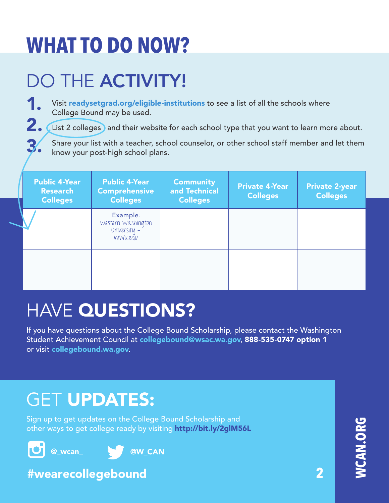## DO THE **ACTIVITY!**

#### 1. Visit readysetgrad.org/eligible-institutions to see a list of all the schools where College Bound may be used.

2. List 2 colleges and their website for each school type that you want to learn more about.

3. Share your list with a teacher, school counselor, or other school staff member and let them know your post-high school plans.

| <b>Public 4-Year</b><br><b>Research</b><br><b>Colleges</b> | <b>Public 4-Year</b><br><b>Comprehensive</b><br><b>Colleges</b>  | <b>Community</b><br>and Technical<br><b>Colleges</b> | <b>Private 4-Year</b><br><b>Colleges</b> | <b>Private 2-year</b><br><b>Colleges</b> |
|------------------------------------------------------------|------------------------------------------------------------------|------------------------------------------------------|------------------------------------------|------------------------------------------|
|                                                            | <b>Example:</b><br>Western Washington<br>University -<br>WWU.edu |                                                      |                                          |                                          |
|                                                            |                                                                  |                                                      |                                          |                                          |

## HAVE QUESTIONS?

If you have questions about the College Bound Scholarship, please contact the Washington Student Achievement Council at collegebound@wsac.wa.gov, 888-535-0747 option 1 or visit collegebound.wa.gov.

#### **GET UPDATES:**

Sign up to get updates on the College Bound Scholarship and other ways to get college ready by visiting http://bit.ly/2glM56L



#### #wearecollegebound

**WCAN.ORG JCAN.ORG** 

**2**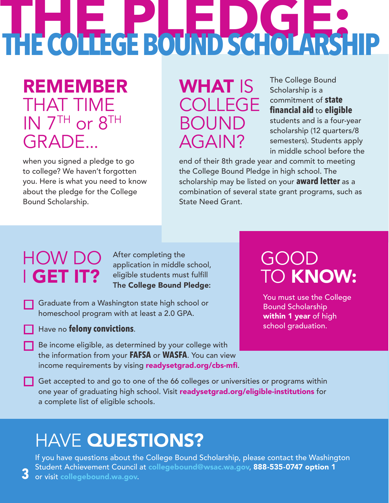# THE COLLEGE BOUND SCHOLARS-**THE COLLEGE BOUND SCHOLARSHIP**

REMEMBER THAT TIME IN 7TH or 8TH GRADE...

when you signed a pledge to go to college? We haven't forgotten you. Here is what you need to know about the pledge for the College Bound Scholarship.

WHAT IS COLLEGE BOUND AGAIN?

The College Bound Scholarship is a commitment of **state financial aid** to **eligible**  students and is a four-year scholarship (12 quarters/8

semesters). Students apply in middle school before the

end of their 8th grade year and commit to meeting the College Bound Pledge in high school. The scholarship may be listed on your **award letter** as a combination of several state grant programs, such as State Need Grant.

## HOW DO I GET IT?

**3**

After completing the application in middle school, eligible students must fulfill The College Bound Pledge:

Graduate from a Washington state high school or homeschool program with at least a 2.0 GPA.

#### Have no **felony convictions**.

Be income eligible, as determined by your college with the information from your **FAFSA** or **WASFA**. You can view income requirements by vising readysetgrad.org/cbs-mfi.

#### GOOD TO KNOW:

You must use the College Bound Scholarship within 1 year of high school graduation.

Get accepted to and go to one of the 66 colleges or universities or programs within one year of graduating high school. Visit readysetgrad.org/eligible-institutions for a complete list of eligible schools.

#### **HAVE QUESTIONS?**

If you have questions about the College Bound Scholarship, please contact the Washington Student Achievement Council at collegebound@wsac.wa.gov, 888-535-0747 option 1 or visit collegebound.wa.gov.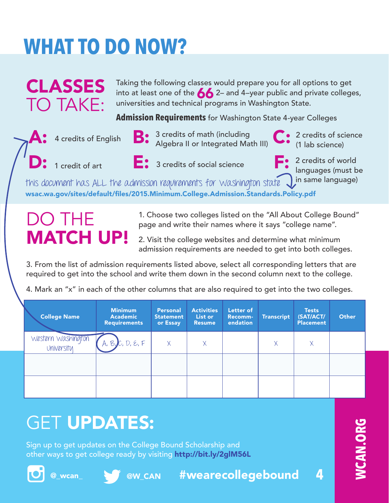Taking the following classes would prepare you for all options to get into at least one of the  $\bigotimes$  2– and 4–year public and private colleges, universities and technical programs in Washington State.

**Admission Requirements** for Washington State 4-year Colleges.



CLASSES

TO TAKE:



- **A:** 4 credits of English  $B: 3$  credits of math (including  $\begin{bmatrix} . & 2 \end{bmatrix}$  credits of science Algebra II or Integrated Math III)
- (1 lab science)

- 
- 1 credit of art **E:** 3 credits of social science **F:** 2 credits of world languages (must be

this document has ALL the admission requirements for Washington state  $\bigcup$ in same language) wsac.wa.gov/sites/default/files/2015.Minimum.College.Admission.Standards.Policy.pdf

#### DO THE MATCH UP!

1. Choose two colleges listed on the "All About College Bound" page and write their names where it says "college name".

2. Visit the college websites and determine what minimum admission requirements are needed to get into both colleges.

3. From the list of admission requirements listed above, select all corresponding letters that are required to get into the school and write them down in the second column next to the college.

4. Mark an "x" in each of the other columns that are also required to get into the two colleges.

| <b>College Name</b>              | <b>Minimum</b><br><b>Academic</b><br><b>Requirements</b> | <b>Personal</b><br><b>Statement</b><br>or Essay | <b>Activities</b><br>List or<br><b>Resume</b> | Letter of<br><b>Recomm-</b><br>endation | <b>Transcript</b> | <b>Tests</b><br>(SAT/ACT/<br><b>Placement</b> | Other |
|----------------------------------|----------------------------------------------------------|-------------------------------------------------|-----------------------------------------------|-----------------------------------------|-------------------|-----------------------------------------------|-------|
| Western Washington<br>University | A, B, C, D, E, F                                         | $\times$                                        | X                                             |                                         | χ                 | Χ                                             |       |
|                                  |                                                          |                                                 |                                               |                                         |                   |                                               |       |
|                                  |                                                          |                                                 |                                               |                                         |                   |                                               |       |

## **GET UPDATES:**

Sign up to get updates on the College Bound Scholarship and other ways to get college ready by visiting http://bit.ly/2glM56L







@\_wcan\_ \\@@W\_CAN #wearecollegebound

**4**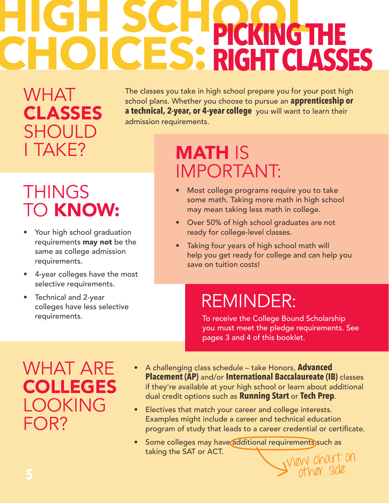## **HIGH SCHOOL SCHOOLS SEE SCHOOL CHOICES: RIGHT CLASSE RIGHT CLASSES**

WHAT CLASSES **SHOULD** I TAKE?

The classes you take in high school prepare you for your post high school plans. Whether you choose to pursue an **apprenticeship or a technical, 2-year, or 4-year college**, you will want to learn their admission requirements.

## **THINGS** TO KNOW:

- Your high school graduation requirements **may not** be the same as college admission requirements.
- 4-year colleges have the most selective requirements.
- Technical and 2-year colleges have less selective requirements.

#### MATH IS IMPORTANT:

- Most college programs require you to take some math. Taking more math in high school may mean taking less math in college.
- Over 50% of high school graduates are not ready for college-level classes.
- Taking four years of high school math will help you get ready for college and can help you save on tuition costs!

## REMINDER:

To receive the College Bound Scholarship you must meet the pledge requirements. See pages 3 and 4 of this booklet.

other side

#### WHAT ARE COLLEGES LOOKING FOR?

- A challenging class schedule take Honors, **Advanced Placement (AP)** and/or **International Baccalaureate (IB)** classes if they're available at your high school or learn about additional dual credit options such as **Running Start** or **Tech Prep**..
- Electives that match your career and college interests. Examples might include a career and technical education program of study that leads to a career credential or certificate.
- view chart on Some colleges may have additional requirements such as taking the SAT or ACT.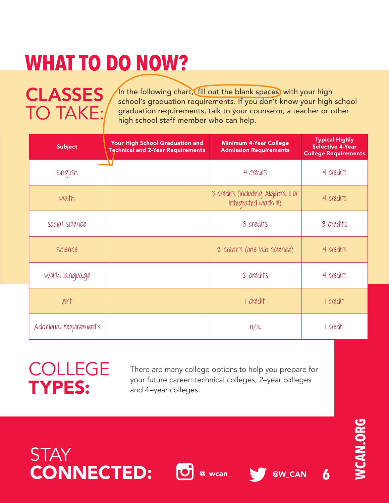**CLASSES** TO TAKE:

In the following chart, fill out the blank spaces) with your high school's graduation requirements. If you don't know your high school graduation requirements, talk to your counselor, a teacher or other high school staff member who can help.

| <b>Subject</b>          | Your High School Graduation and<br><b>Technical and 2-Year Requirements</b> | <b>Minimum 4-Year College</b><br><b>Admission Requirements</b> | <b>Typical Highly</b><br><b>Selective 4-Year</b><br><b>College Requirements</b> |  |
|-------------------------|-----------------------------------------------------------------------------|----------------------------------------------------------------|---------------------------------------------------------------------------------|--|
| English                 |                                                                             | 4 credits                                                      | 4 credits                                                                       |  |
| Math                    |                                                                             | 3 credits (including Algebra II or<br>Integrated Math III)     | 4 credits                                                                       |  |
| social science          |                                                                             | 3 credits                                                      | 3 credits                                                                       |  |
| Science                 |                                                                             | 2 credits (one lab science)                                    | 4 credits                                                                       |  |
| World language          |                                                                             | 2 credits                                                      | 4 credits                                                                       |  |
| Art                     |                                                                             | I credit                                                       | I credit                                                                        |  |
| Additional requirements |                                                                             | n/a                                                            | credit                                                                          |  |

#### COLLEGE TYPES:

**STAY** 

There are many college options to help you prepare for your future career: technical colleges, 2–year colleges and 4–year colleges.

CONNECTED: @\_wcan\_ @W\_CAN **6**

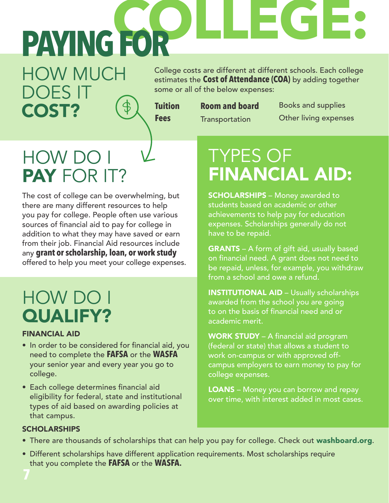**COLLEGE: PAYING FOR**

College costs are different at different schools. Each college estimates the **Cost of Attendance (COA)** by adding together some or all of the below expenses:

**Tuition Fees**

**Room and board Transportation** 

Books and supplies Other living expenses

#### HOW DO I PAY FOR IT?

HOW MUCH

DOES IT

COST?

The cost of college can be overwhelming, but there are many different resources to help you pay for college. People often use various sources of financial aid to pay for college in addition to what they may have saved or earn from their job. Financial Aid resources include any **grant or scholarship, loan, or work study** offered to help you meet your college expenses.

#### HOW DO I QUALIFY?

#### FINANCIAL AID

- In order to be considered for financial aid, you need to complete the **FAFSA** or the **WASFA** your senior year and every year you go to college.
- Each college determines financial aid eligibility for federal, state and institutional types of aid based on awarding policies at that campus.

## TYPES OF FINANCIAL AID:

**SCHOLARSHIPS** - Money awarded to students based on academic or other achievements to help pay for education expenses. Scholarships generally do not have to be repaid.

GRANTS - A form of gift aid, usually based on financial need. A grant does not need to be repaid, unless, for example, you withdraw from a school and owe a refund.

INSTITUTIONAL AID – Usually scholarships awarded from the school you are going to on the basis of financial need and or academic merit.

WORK STUDY - A financial aid program (federal or state) that allows a student to work on-campus or with approved offcampus employers to earn money to pay for college expenses.

**LOANS** – Money you can borrow and repay over time, with interest added in most cases.

#### SCHOLARSHIPS

- There are thousands of scholarships that can help you pay for college. Check out washboard.org.
- Different scholarships have different application requirements. Most scholarships require that you complete the **FAFSA** or the **WASFA**.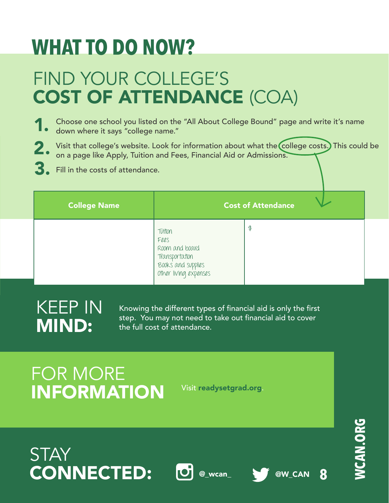## FIND YOUR COLLEGE'S COST OF ATTENDANCE (COA)

- Choose one school you listed on the "All About College Bound" page and write it's name down where it says "college name." 1.
- Visit that college's website. Look for information about what the college costs.) This could be on a page like Apply, Tuition and Fees, Financial Aid or Admissions. 2.
- Fill in the costs of attendance. 3.

| <b>College Name</b> |                                                                                                    | <b>Cost of Attendance</b> |  |
|---------------------|----------------------------------------------------------------------------------------------------|---------------------------|--|
|                     | Tutton<br>Fees<br>Room and board<br>Transportation<br>Books' and supplies<br>Other living expenses | \$                        |  |

#### KEEP IN MIND:

Knowing the different types of financial aid is only the first step. You may not need to take out financial aid to cover the full cost of attendance.

## FOR MORE INFORMATION

Visit readysetgrad.org.



**8**

**STAY** CONNECTED: **O** @\_wcan\_ \@W\_CAN





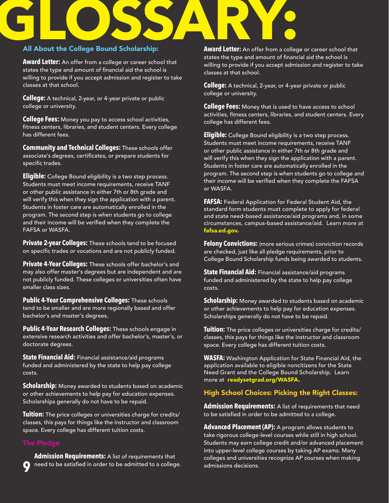# All About the College Bound Scholarship: Award Letter: An offer from a colleg

#### All About the College Bound Scholarship:

**Award Letter:** An offer from a college or career school that states the type and amount of financial aid the school is willing to provide if you accept admission and register to take classes at that school.

**College:** A technical, 2-year, or 4-year private or public college or university.

**College Fees:** Money you pay to access school activities, fitness centers, libraries, and student centers. Every college has different fees.

**Community and Technical Colleges:** These schools offer associate's degrees, certificates, or prepare students for specific trades.

**Eligible:** College Bound eligibility is a two step process. Students must meet income requirements, receive TANF or other public assistance in either 7th or 8th grade and will verify this when they sign the application with a parent. Students in foster care are automatically enrolled in the program. The second step is when students go to college and their income will be verified when they complete the FAFSA or WASFA.

**Private 2-year Colleges:** These schools tend to be focused on specific trades or vocations and are not publicly funded.

**Private 4-Year Colleges:** These schools offer bachelor's and may also offer master's degrees but are independent and are not publicly funded. These colleges or universities often have smaller class sizes.

**Public 4-Year Comprehensive Colleges:** These schools tend to be smaller and are more regionally based and offer bachelor's and master's degrees.

**Public 4-Year Research Colleges:** These schools engage in extensive research activities and offer bachelor's, master's, or doctorate degrees.

**State Financial Aid:** Financial assistance/aid programs funded and administered by the state to help pay college costs.

**Scholarship:** Money awarded to students based on academic or other achievements to help pay for education expenses. Scholarships generally do not have to be repaid.

**Tuition:** The price colleges or universities charge for credits/ classes, this pays for things like the instructor and classroom space. Every college has different tuition costs.

**9** need to be satisfied in order to be admitted to a college. **Admission Requirements:** A list of requirements that

**Award Letter:** An offer from a college or career school that states the type and amount of financial aid the school is willing to provide if you accept admission and register to take classes at that school.

**College:** A technical, 2-year, or 4-year private or public college or university.

**College Fees:** Money that is used to have access to school activities, fitness centers, libraries, and student centers. Every college has different fees.

**Eligible:** College Bound eligibility is a two step process. Students must meet income requirements, receive TANF or other public assistance in either 7th or 8th grade and will verify this when they sign the application with a parent. Students in foster care are automatically enrolled in the program. The second step is when students go to college and their income will be verified when they complete the FAFSA or WASFA.

**FAFSA:** Federal Application for Federal Student Aid, the standard form students must complete to apply for federal and state need-based assistance/aid programs and, in some circumstances, campus-based assistance/aid. Learn more at fafsa.ed.gov.

**Felony Convictions:** (more serious crimes) conviction records are checked, just like all pledge requirements, prior to College Bound Scholarship funds being awarded to students.

**State Financial Aid:** Financial assistance/aid programs funded and administered by the state to help pay college costs.

**Scholarship:** Money awarded to students based on academic or other achievements to help pay for education expenses. Scholarships generally do not have to be repaid.

**Tuition:** The price colleges or universities charge for credits/ classes, this pays for things like the instructor and classroom space. Every college has different tuition costs.

**WASFA:** Washington Application for State Financial Aid, the application available to eligible noncitizens for the State Need Grant and the College Bound Scholarship. Learn more at readysetgrad.org/WASFA.

#### High School Choices: Picking the Right Classes:

**Admission Requirements:** A list of requirements that need to be satisfied in order to be admitted to a college.

**Advanced Placement (AP):** A program allows students to take rigorous college-level courses while still in high school. Students may earn college credit and/or advanced placement into upper-level college courses by taking AP exams. Many colleges and universities recognize AP courses when making admissions decisions.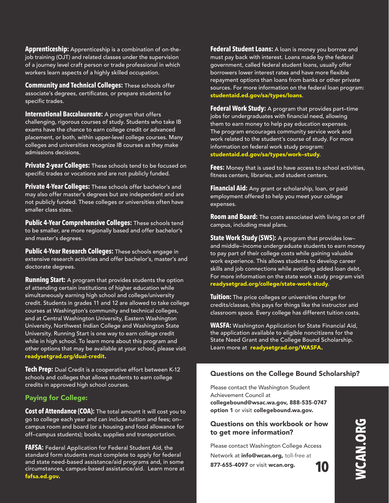**Apprenticeship:** Apprenticeship is a combination of on-theiob training (OJT) and related classes under the supervision of a journey level craft person or trade professional in which workers learn aspects of a highly skilled occupation.

**Community and Technical Colleges:** These schools offer associate's degrees, certificates, or prepare students for specific trades.

**International Baccalaureate:** A program that offers challenging, rigorous courses of study. Students who take IB exams have the chance to earn college credit or advanced placement, or both, within upper-level college courses. Many colleges and universities recognize IB courses as they make admissions decisions.

**Private 2-year Colleges:** These schools tend to be focused on specific trades or vocations and are not publicly funded.

**Private 4-Year Colleges:** These schools offer bachelor's and may also offer master's degrees but are independent and are not publicly funded. These colleges or universities often have smaller class sizes.

**Public 4-Year Comprehensive Colleges:** These schools tend to be smaller, are more regionally based and offer bachelor's and master's degrees.

**Public 4-Year Research Colleges:** These schools engage in extensive research activities and offer bachelor's, master's and doctorate degrees.

**Running Start:** A program that provides students the option of attending certain institutions of higher education while simultaneously earning high school and college/university credit. Students in grades 11 and 12 are allowed to take college courses at Washington's community and technical colleges, and at Central Washington University, Eastern Washington University, Northwest Indian College and Washington State University. Running Start is one way to earn college credit while in high school. To learn more about this program and other options that may be available at your school, please visit readysetgrad.org/dual-credit.

**Tech Prep:** Dual Credit is a cooperative effort between K-12 schools and colleges that allows students to earn college credits in approved high school courses.

#### Paying for College:

**Cost of Attendance (COA):** The total amount it will cost you to go to college each year and can include tuition and fees; on– campus room and board (or a housing and food allowance for off–campus students); books, supplies and transportation.

**FAFSA:** Federal Application for Federal Student Aid, the standard form students must complete to apply for federal and state need-based assistance/aid programs and, in some circumstances, campus-based assistance/aid. Learn more at fafsa.ed.gov.

**Federal Student Loans:** A loan is money you borrow and must pay back with interest. Loans made by the federal government, called federal student loans, usually offer borrowers lower interest rates and have more flexible repayment options than loans from banks or other private sources. For more information on the federal loan program: studentaid.ed.gov/sa/types/loans.

**Federal Work Study:** A program that provides part–time jobs for undergraduates with financial need, allowing them to earn money to help pay education expenses. The program encourages community service work and work related to the student's course of study. For more information on federal work study program: studentaid.ed.gov/sa/types/work–study.

**Fees:** Money that is used to have access to school activities, fitness centers, libraries, and student centers.

**Financial Aid:** Any grant or scholarship, loan, or paid employment offered to help you meet your college expenses.

**Room and Board:** The costs associated with living on or off campus, including meal plans.

**State Work Study (SWS):** A program that provides low– and middle–income undergraduate students to earn money to pay part of their college costs while gaining valuable work experience. This allows students to develop career skills and job connections while avoiding added loan debt. For more information on the state work study program visit readysetgrad.org/college/state-work-study.

**Tuition:** The price colleges or universities charge for credits/classes, this pays for things like the instructor and classroom space. Every college has different tuition costs.

**WASFA:** Washington Application for State Financial Aid, the application available to eligible noncitizens for the State Need Grant and the College Bound Scholarship. Learn more at readysetgrad.org/WASFA.

#### Questions on the College Bound Scholarship?

Please contact the Washington Student Achievement Council at collegebound@wsac.wa.gov, 888-535-0747 option 1 or visit collegebound.wa.gov.

#### Questions on this workbook or how to get more information?

Please contact Washington College Access Network at info@wcan.org, toll-free at 877-655-4097 or visit wcan.org. **10**